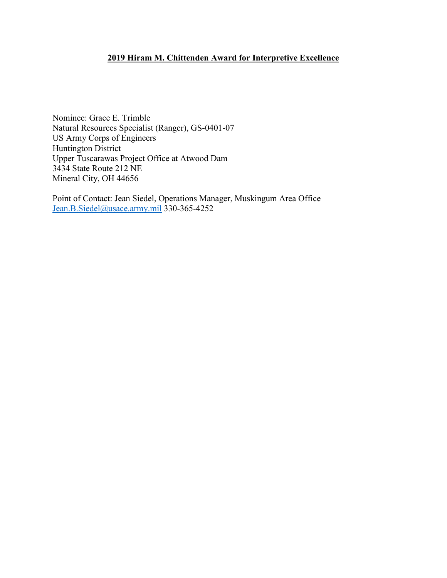## **2019 Hiram M. Chittenden Award for Interpretive Excellence**

Nominee: Grace E. Trimble Natural Resources Specialist (Ranger), GS-0401-07 US Army Corps of Engineers Huntington District Upper Tuscarawas Project Office at Atwood Dam 3434 State Route 212 NE Mineral City, OH 44656

Point of Contact: Jean Siedel, Operations Manager, Muskingum Area Office [Jean.B.Siedel@usace.army.mil](mailto:Jean.B.Siedel@usace.army.mil) 330-365-4252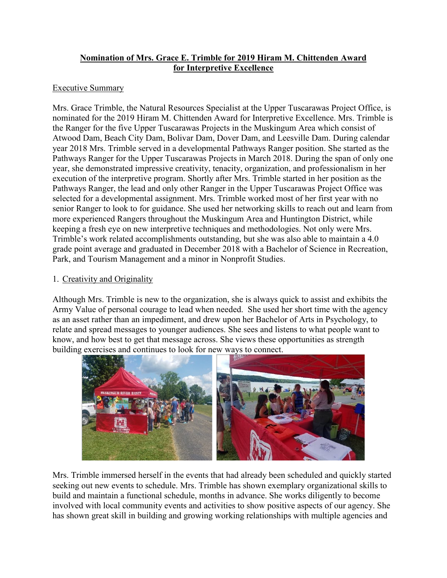## **Nomination of Mrs. Grace E. Trimble for 2019 Hiram M. Chittenden Award for Interpretive Excellence**

## Executive Summary

Mrs. Grace Trimble, the Natural Resources Specialist at the Upper Tuscarawas Project Office, is nominated for the 2019 Hiram M. Chittenden Award for Interpretive Excellence. Mrs. Trimble is the Ranger for the five Upper Tuscarawas Projects in the Muskingum Area which consist of Atwood Dam, Beach City Dam, Bolivar Dam, Dover Dam, and Leesville Dam. During calendar year 2018 Mrs. Trimble served in a developmental Pathways Ranger position. She started as the Pathways Ranger for the Upper Tuscarawas Projects in March 2018. During the span of only one year, she demonstrated impressive creativity, tenacity, organization, and professionalism in her execution of the interpretive program. Shortly after Mrs. Trimble started in her position as the Pathways Ranger, the lead and only other Ranger in the Upper Tuscarawas Project Office was selected for a developmental assignment. Mrs. Trimble worked most of her first year with no senior Ranger to look to for guidance. She used her networking skills to reach out and learn from more experienced Rangers throughout the Muskingum Area and Huntington District, while keeping a fresh eye on new interpretive techniques and methodologies. Not only were Mrs. Trimble's work related accomplishments outstanding, but she was also able to maintain a 4.0 grade point average and graduated in December 2018 with a Bachelor of Science in Recreation, Park, and Tourism Management and a minor in Nonprofit Studies.

## 1. Creativity and Originality

Although Mrs. Trimble is new to the organization, she is always quick to assist and exhibits the Army Value of personal courage to lead when needed. She used her short time with the agency as an asset rather than an impediment, and drew upon her Bachelor of Arts in Psychology, to relate and spread messages to younger audiences. She sees and listens to what people want to know, and how best to get that message across. She views these opportunities as strength building exercises and continues to look for new ways to connect.



Mrs. Trimble immersed herself in the events that had already been scheduled and quickly started seeking out new events to schedule. Mrs. Trimble has shown exemplary organizational skills to build and maintain a functional schedule, months in advance. She works diligently to become involved with local community events and activities to show positive aspects of our agency. She has shown great skill in building and growing working relationships with multiple agencies and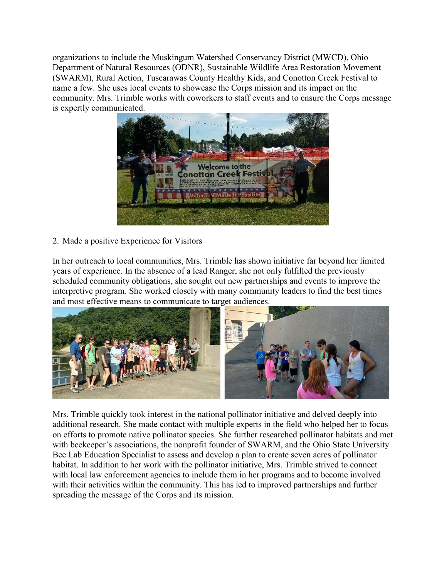organizations to include the Muskingum Watershed Conservancy District (MWCD), Ohio Department of Natural Resources (ODNR), Sustainable Wildlife Area Restoration Movement (SWARM), Rural Action, Tuscarawas County Healthy Kids, and Conotton Creek Festival to name a few. She uses local events to showcase the Corps mission and its impact on the community. Mrs. Trimble works with coworkers to staff events and to ensure the Corps message is expertly communicated.



# 2. Made a positive Experience for Visitors

In her outreach to local communities, Mrs. Trimble has shown initiative far beyond her limited years of experience. In the absence of a lead Ranger, she not only fulfilled the previously scheduled community obligations, she sought out new partnerships and events to improve the interpretive program. She worked closely with many community leaders to find the best times and most effective means to communicate to target audiences.



Mrs. Trimble quickly took interest in the national pollinator initiative and delved deeply into additional research. She made contact with multiple experts in the field who helped her to focus on efforts to promote native pollinator species. She further researched pollinator habitats and met with beekeeper's associations, the nonprofit founder of SWARM, and the Ohio State University Bee Lab Education Specialist to assess and develop a plan to create seven acres of pollinator habitat. In addition to her work with the pollinator initiative, Mrs. Trimble strived to connect with local law enforcement agencies to include them in her programs and to become involved with their activities within the community. This has led to improved partnerships and further spreading the message of the Corps and its mission.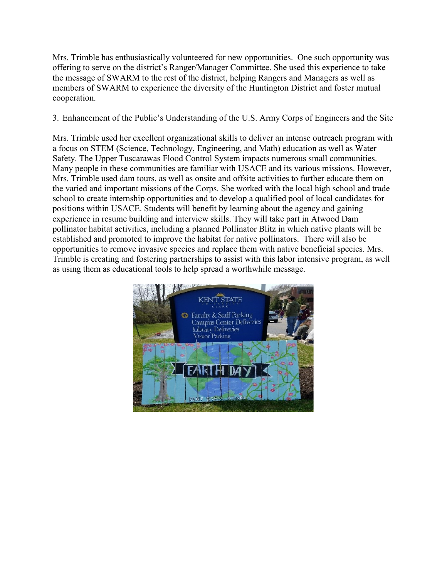Mrs. Trimble has enthusiastically volunteered for new opportunities. One such opportunity was offering to serve on the district's Ranger/Manager Committee. She used this experience to take the message of SWARM to the rest of the district, helping Rangers and Managers as well as members of SWARM to experience the diversity of the Huntington District and foster mutual cooperation.

## 3. Enhancement of the Public's Understanding of the U.S. Army Corps of Engineers and the Site

Mrs. Trimble used her excellent organizational skills to deliver an intense outreach program with a focus on STEM (Science, Technology, Engineering, and Math) education as well as Water Safety. The Upper Tuscarawas Flood Control System impacts numerous small communities. Many people in these communities are familiar with USACE and its various missions. However, Mrs. Trimble used dam tours, as well as onsite and offsite activities to further educate them on the varied and important missions of the Corps. She worked with the local high school and trade school to create internship opportunities and to develop a qualified pool of local candidates for positions within USACE. Students will benefit by learning about the agency and gaining experience in resume building and interview skills. They will take part in Atwood Dam pollinator habitat activities, including a planned Pollinator Blitz in which native plants will be established and promoted to improve the habitat for native pollinators. There will also be opportunities to remove invasive species and replace them with native beneficial species. Mrs. Trimble is creating and fostering partnerships to assist with this labor intensive program, as well as using them as educational tools to help spread a worthwhile message.